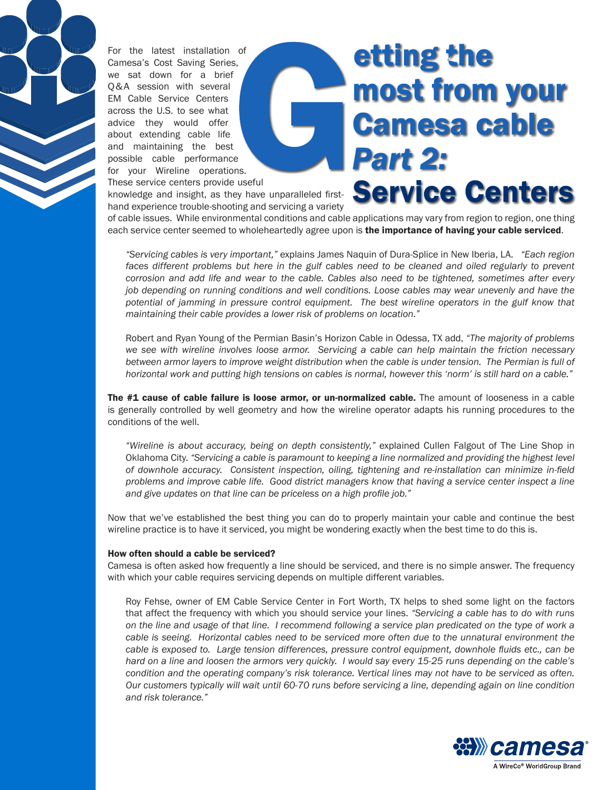

For the latest installation of Camesa's Cost Saving Series, we sat down for a brief Q&A session with several EM Cable Service Centers across the U.S. to see what advice they would offer about extending cable life and maintaining the best possible cable performance for your Wireline operations. These service centers provide useful

## **etting the** most from your **Camesa cable Part 2: Service Centers**

knowledge and insight, as they have unparalleled firsthand experience trouble-shooting and servicing a variety

of cable issues. While environmental conditions and cable applications may vary from region to region, one thing each service center seemed to wholeheartedly agree upon is the importance of having your cable serviced.

*"Servicing cables is very important,"* explains James Naquin of Dura-Splice in New Iberia, LA. *"Each region*  faces different problems but here in the gulf cables need to be cleaned and oiled regularly to prevent *corrosion and add life and wear to the cable. Cables also need to be tightened, sometimes after every job depending on running conditions and well conditions. Loose cables may wear unevenly and have the potential of jamming in pressure control equipment. The best wireline operators in the gulf know that maintaining their cable provides a lower risk of problems on location."* 

Robert and Ryan Young of the Permian Basin's Horizon Cable in Odessa, TX add, *"The majority of problems we see with wireline involves loose armor. Servicing a cable can help maintain the friction necessary*  between armor layers to improve weight distribution when the cable is under tension. The Permian is full of *horizontal work and putting high tensions on cables is normal, however this 'norm' is still hard on a cable."* 

The #1 cause of cable failure is loose armor, or un-normalized cable. The amount of looseness in a cable is generally controlled by well geometry and how the wireline operator adapts his running procedures to the conditions of the well.

*"Wireline is about accuracy, being on depth consistently,"* explained Cullen Falgout of The Line Shop in Oklahoma City. *"Servicing a cable is paramount to keeping a line normalized and providing the highest level of downhole accuracy. Consistent inspection, oiling, tightening and re-installation can minimize in-field problems and improve cable life. Good district managers know that having a service center inspect a line and give updates on that line can be priceless on a high profile job."*

Now that we've established the best thing you can do to properly maintain your cable and continue the best wireline practice is to have it serviced, you might be wondering exactly when the best time to do this is.

## How often should a cable be serviced?

Camesa is often asked how frequently a line should be serviced, and there is no simple answer. The frequency with which your cable requires servicing depends on multiple different variables.

Roy Fehse, owner of EM Cable Service Center in Fort Worth, TX helps to shed some light on the factors that affect the frequency with which you should service your lines. *"Servicing a cable has to do with runs on the line and usage of that line. I recommend following a service plan predicated on the type of work a cable is seeing. Horizontal cables need to be serviced more often due to the unnatural environment the cable is exposed to. Large tension differences, pressure control equipment, downhole fluids etc., can be hard on a line and loosen the armors very quickly. I would say every 15-25 runs depending on the cable's condition and the operating company's risk tolerance. Vertical lines may not have to be serviced as often. Our customers typically will wait until 60-70 runs before servicing a line, depending again on line condition and risk tolerance."*

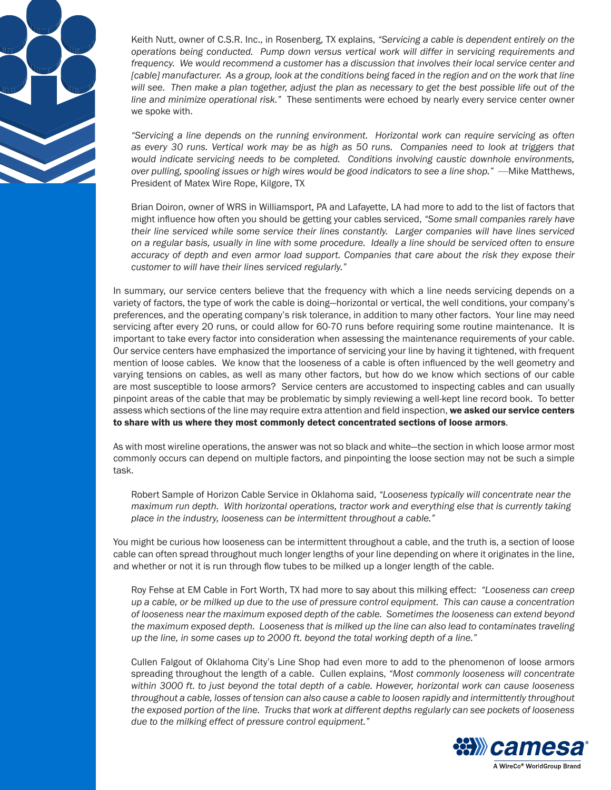

Keith Nutt, owner of C.S.R. Inc., in Rosenberg, TX explains, *"Servicing a cable is dependent entirely on the operations being conducted. Pump down versus vertical work will differ in servicing requirements and frequency. We would recommend a customer has a discussion that involves their local service center and [cable] manufacturer. As a group, look at the conditions being faced in the region and on the work that line will see. Then make a plan together, adjust the plan as necessary to get the best possible life out of the line and minimize operational risk."* These sentiments were echoed by nearly every service center owner we spoke with.

*"Servicing a line depends on the running environment. Horizontal work can require servicing as often as every 30 runs. Vertical work may be as high as 50 runs. Companies need to look at triggers that would indicate servicing needs to be completed. Conditions involving caustic downhole environments, over pulling, spooling issues or high wires would be good indicators to see a line shop."* —Mike Matthews, President of Matex Wire Rope, Kilgore, TX

Brian Doiron, owner of WRS in Williamsport, PA and Lafayette, LA had more to add to the list of factors that might influence how often you should be getting your cables serviced, *"Some small companies rarely have their line serviced while some service their lines constantly. Larger companies will have lines serviced on a regular basis, usually in line with some procedure. Ideally a line should be serviced often to ensure accuracy of depth and even armor load support. Companies that care about the risk they expose their customer to will have their lines serviced regularly."* 

In summary, our service centers believe that the frequency with which a line needs servicing depends on a variety of factors, the type of work the cable is doing—horizontal or vertical, the well conditions, your company's preferences, and the operating company's risk tolerance, in addition to many other factors. Your line may need servicing after every 20 runs, or could allow for 60-70 runs before requiring some routine maintenance. It is important to take every factor into consideration when assessing the maintenance requirements of your cable. Our service centers have emphasized the importance of servicing your line by having it tightened, with frequent mention of loose cables. We know that the looseness of a cable is often influenced by the well geometry and varying tensions on cables, as well as many other factors, but how do we know which sections of our cable are most susceptible to loose armors? Service centers are accustomed to inspecting cables and can usually pinpoint areas of the cable that may be problematic by simply reviewing a well-kept line record book. To better assess which sections of the line may require extra attention and field inspection, we asked our service centers to share with us where they most commonly detect concentrated sections of loose armors.

As with most wireline operations, the answer was not so black and white—the section in which loose armor most commonly occurs can depend on multiple factors, and pinpointing the loose section may not be such a simple task.

Robert Sample of Horizon Cable Service in Oklahoma said, *"Looseness typically will concentrate near the maximum run depth. With horizontal operations, tractor work and everything else that is currently taking place in the industry, looseness can be intermittent throughout a cable."* 

You might be curious how looseness can be intermittent throughout a cable, and the truth is, a section of loose cable can often spread throughout much longer lengths of your line depending on where it originates in the line, and whether or not it is run through flow tubes to be milked up a longer length of the cable.

Roy Fehse at EM Cable in Fort Worth, TX had more to say about this milking effect: *"Looseness can creep up a cable, or be milked up due to the use of pressure control equipment. This can cause a concentration of looseness near the maximum exposed depth of the cable. Sometimes the looseness can extend beyond the maximum exposed depth. Looseness that is milked up the line can also lead to contaminates traveling up the line, in some cases up to 2000 ft. beyond the total working depth of a line."*

Cullen Falgout of Oklahoma City's Line Shop had even more to add to the phenomenon of loose armors spreading throughout the length of a cable. Cullen explains, *"Most commonly looseness will concentrate within 3000 ft. to just beyond the total depth of a cable. However, horizontal work can cause looseness throughout a cable, losses of tension can also cause a cable to loosen rapidly and intermittently throughout the exposed portion of the line. Trucks that work at different depths regularly can see pockets of looseness due to the milking effect of pressure control equipment."*